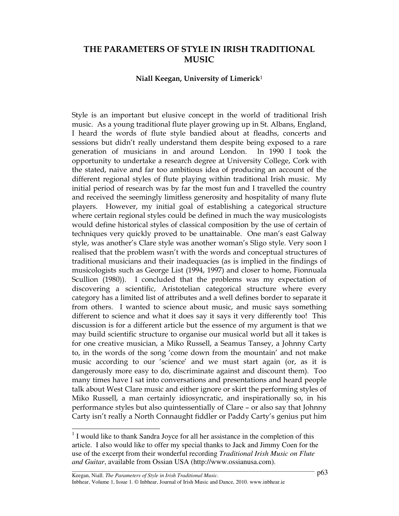# THE PARAMETERS OF STYLE IN IRISH TRADITIONAL MUSIC

### Niall Keegan, University of Limerick<sup>1</sup>

Style is an important but elusive concept in the world of traditional Irish music. As a young traditional flute player growing up in St. Albans, England, I heard the words of flute style bandied about at fleadhs, concerts and sessions but didn't really understand them despite being exposed to a rare generation of musicians in and around London. In 1990 I took the opportunity to undertake a research degree at University College, Cork with the stated, naive and far too ambitious idea of producing an account of the different regional styles of flute playing within traditional Irish music. My initial period of research was by far the most fun and I travelled the country and received the seemingly limitless generosity and hospitality of many flute players. However, my initial goal of establishing a categorical structure where certain regional styles could be defined in much the way musicologists would define historical styles of classical composition by the use of certain of techniques very quickly proved to be unattainable. One man's east Galway style, was another's Clare style was another woman's Sligo style. Very soon I realised that the problem wasn't with the words and conceptual structures of traditional musicians and their inadequacies (as is implied in the findings of musicologists such as George List (1994, 1997) and closer to home, Fionnuala Scullion (1980)). I concluded that the problems was my expectation of discovering a scientific, Aristotelian categorical structure where every category has a limited list of attributes and a well defines border to separate it from others. I wanted to science about music, and music says something different to science and what it does say it says it very differently too! This discussion is for a different article but the essence of my argument is that we may build scientific structure to organise our musical world but all it takes is for one creative musician, a Miko Russell, a Seamus Tansey, a Johnny Carty to, in the words of the song 'come down from the mountain' and not make music according to our 'science' and we must start again (or, as it is dangerously more easy to do, discriminate against and discount them). Too many times have I sat into conversations and presentations and heard people talk about West Clare music and either ignore or skirt the performing styles of Miko Russell, a man certainly idiosyncratic, and inspirationally so, in his performance styles but also quintessentially of Clare – or also say that Johnny Carty isn't really a North Connaught fiddler or Paddy Carty's genius put him

 $\overline{\phantom{a}}$ 

<sup>&</sup>lt;sup>1</sup> I would like to thank Sandra Joyce for all her assistance in the completion of this article. I also would like to offer my special thanks to Jack and Jimmy Coen for the use of the excerpt from their wonderful recording *Traditional Irish Music on Flute and Guitar*, available from Ossian USA (http://www.ossianusa.com).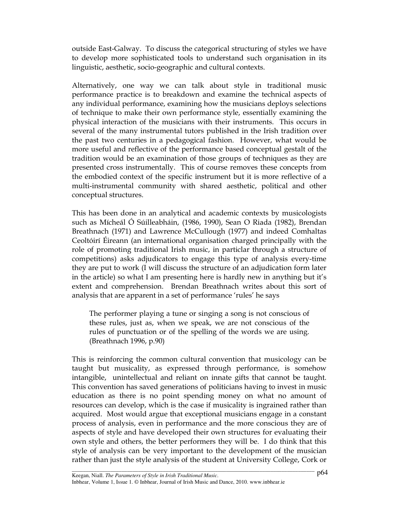outside East-Galway. To discuss the categorical structuring of styles we have to develop more sophisticated tools to understand such organisation in its linguistic, aesthetic, socio-geographic and cultural contexts.

Alternatively, one way we can talk about style in traditional music performance practice is to breakdown and examine the technical aspects of any individual performance, examining how the musicians deploys selections of technique to make their own performance style, essentially examining the physical interaction of the musicians with their instruments. This occurs in several of the many instrumental tutors published in the Irish tradition over the past two centuries in a pedagogical fashion. However, what would be more useful and reflective of the performance based conceptual gestalt of the tradition would be an examination of those groups of techniques as they are presented cross instrumentally. This of course removes these concepts from the embodied context of the specific instrument but it is more reflective of a multi-instrumental community with shared aesthetic, political and other conceptual structures.

This has been done in an analytical and academic contexts by musicologists such as Mícheál Ó Súilleabháin, (1986, 1990), Sean O Riada (1982), Brendan Breathnach (1971) and Lawrence McCullough (1977) and indeed Comhaltas Ceoltóirí Éireann (an international organisation charged principally with the role of promoting traditional Irish music, in particlar through a structure of competitions) asks adjudicators to engage this type of analysis every-time they are put to work (I will discuss the structure of an adjudication form later in the article) so what I am presenting here is hardly new in anything but it's extent and comprehension. Brendan Breathnach writes about this sort of analysis that are apparent in a set of performance 'rules' he says

The performer playing a tune or singing a song is not conscious of these rules, just as, when we speak, we are not conscious of the rules of punctuation or of the spelling of the words we are using. (Breathnach 1996, p.90)

This is reinforcing the common cultural convention that musicology can be taught but musicality, as expressed through performance, is somehow intangible, unintellectual and reliant on innate gifts that cannot be taught. This convention has saved generations of politicians having to invest in music education as there is no point spending money on what no amount of resources can develop, which is the case if musicality is ingrained rather than acquired. Most would argue that exceptional musicians engage in a constant process of analysis, even in performance and the more conscious they are of aspects of style and have developed their own structures for evaluating their own style and others, the better performers they will be. I do think that this style of analysis can be very important to the development of the musician rather than just the style analysis of the student at University College, Cork or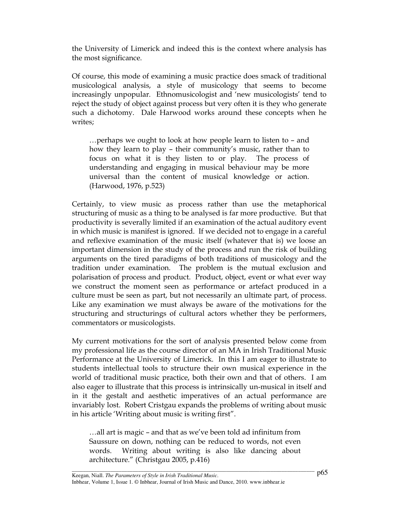the University of Limerick and indeed this is the context where analysis has the most significance.

Of course, this mode of examining a music practice does smack of traditional musicological analysis, a style of musicology that seems to become increasingly unpopular. Ethnomusicologist and 'new musicologists' tend to reject the study of object against process but very often it is they who generate such a dichotomy. Dale Harwood works around these concepts when he writes;

…perhaps we ought to look at how people learn to listen to – and how they learn to play – their community's music, rather than to focus on what it is they listen to or play. The process of understanding and engaging in musical behaviour may be more universal than the content of musical knowledge or action. (Harwood, 1976, p.523)

Certainly, to view music as process rather than use the metaphorical structuring of music as a thing to be analysed is far more productive. But that productivity is severally limited if an examination of the actual auditory event in which music is manifest is ignored. If we decided not to engage in a careful and reflexive examination of the music itself (whatever that is) we loose an important dimension in the study of the process and run the risk of building arguments on the tired paradigms of both traditions of musicology and the tradition under examination. The problem is the mutual exclusion and polarisation of process and product. Product, object, event or what ever way we construct the moment seen as performance or artefact produced in a culture must be seen as part, but not necessarily an ultimate part, of process. Like any examination we must always be aware of the motivations for the structuring and structurings of cultural actors whether they be performers, commentators or musicologists.

My current motivations for the sort of analysis presented below come from my professional life as the course director of an MA in Irish Traditional Music Performance at the University of Limerick. In this I am eager to illustrate to students intellectual tools to structure their own musical experience in the world of traditional music practice, both their own and that of others. I am also eager to illustrate that this process is intrinsically un-musical in itself and in it the gestalt and aesthetic imperatives of an actual performance are invariably lost. Robert Cristgau expands the problems of writing about music in his article 'Writing about music is writing first".

…all art is magic – and that as we've been told ad infinitum from Saussure on down, nothing can be reduced to words, not even words. Writing about writing is also like dancing about architecture." (Christgau 2005, p.416)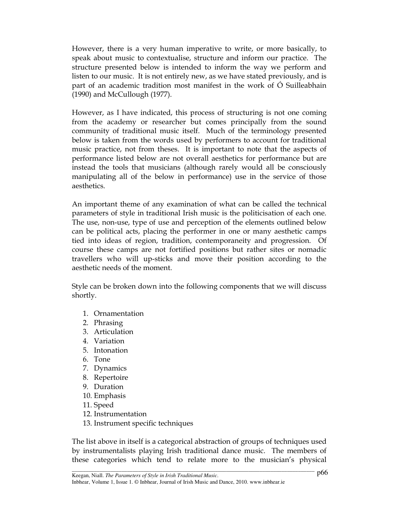However, there is a very human imperative to write, or more basically, to speak about music to contextualise, structure and inform our practice. The structure presented below is intended to inform the way we perform and listen to our music. It is not entirely new, as we have stated previously, and is part of an academic tradition most manifest in the work of Ó Suilleabhain (1990) and McCullough (1977).

However, as I have indicated, this process of structuring is not one coming from the academy or researcher but comes principally from the sound community of traditional music itself. Much of the terminology presented below is taken from the words used by performers to account for traditional music practice, not from theses. It is important to note that the aspects of performance listed below are not overall aesthetics for performance but are instead the tools that musicians (although rarely would all be consciously manipulating all of the below in performance) use in the service of those aesthetics.

An important theme of any examination of what can be called the technical parameters of style in traditional Irish music is the politicisation of each one. The use, non-use, type of use and perception of the elements outlined below can be political acts, placing the performer in one or many aesthetic camps tied into ideas of region, tradition, contemporaneity and progression. Of course these camps are not fortified positions but rather sites or nomadic travellers who will up-sticks and move their position according to the aesthetic needs of the moment.

Style can be broken down into the following components that we will discuss shortly.

- 1. Ornamentation
- 2. Phrasing
- 3. Articulation
- 4. Variation
- 5. Intonation
- 6. Tone
- 7. Dynamics
- 8. Repertoire
- 9. Duration
- 10. Emphasis
- 11. Speed
- 12. Instrumentation
- 13. Instrument specific techniques

The list above in itself is a categorical abstraction of groups of techniques used by instrumentalists playing Irish traditional dance music. The members of these categories which tend to relate more to the musician's physical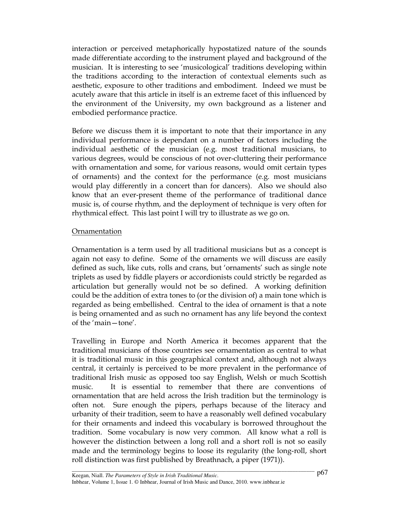interaction or perceived metaphorically hypostatized nature of the sounds made differentiate according to the instrument played and background of the musician. It is interesting to see 'musicological' traditions developing within the traditions according to the interaction of contextual elements such as aesthetic, exposure to other traditions and embodiment. Indeed we must be acutely aware that this article in itself is an extreme facet of this influenced by the environment of the University, my own background as a listener and embodied performance practice.

Before we discuss them it is important to note that their importance in any individual performance is dependant on a number of factors including the individual aesthetic of the musician (e.g. most traditional musicians, to various degrees, would be conscious of not over-cluttering their performance with ornamentation and some, for various reasons, would omit certain types of ornaments) and the context for the performance (e.g. most musicians would play differently in a concert than for dancers). Also we should also know that an ever-present theme of the performance of traditional dance music is, of course rhythm, and the deployment of technique is very often for rhythmical effect. This last point I will try to illustrate as we go on.

## Ornamentation

Ornamentation is a term used by all traditional musicians but as a concept is again not easy to define. Some of the ornaments we will discuss are easily defined as such, like cuts, rolls and crans, but 'ornaments' such as single note triplets as used by fiddle players or accordionists could strictly be regarded as articulation but generally would not be so defined. A working definition could be the addition of extra tones to (or the division of) a main tone which is regarded as being embellished. Central to the idea of ornament is that a note is being ornamented and as such no ornament has any life beyond the context of the 'main—tone'.

Travelling in Europe and North America it becomes apparent that the traditional musicians of those countries see ornamentation as central to what it is traditional music in this geographical context and, although not always central, it certainly is perceived to be more prevalent in the performance of traditional Irish music as opposed too say English, Welsh or much Scottish music. It is essential to remember that there are conventions of ornamentation that are held across the Irish tradition but the terminology is often not. Sure enough the pipers, perhaps because of the literacy and urbanity of their tradition, seem to have a reasonably well defined vocabulary for their ornaments and indeed this vocabulary is borrowed throughout the tradition. Some vocabulary is now very common. All know what a roll is however the distinction between a long roll and a short roll is not so easily made and the terminology begins to loose its regularity (the long-roll, short roll distinction was first published by Breathnach, a piper (1971)).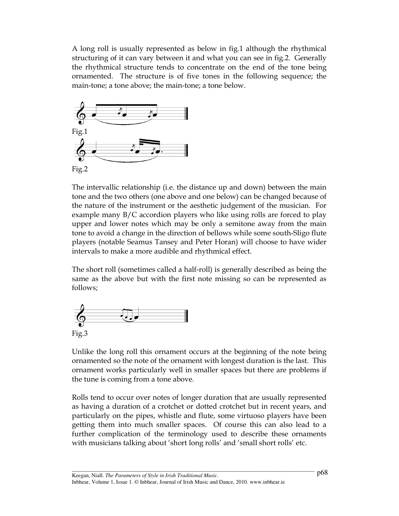A long roll is usually represented as below in fig.1 although the rhythmical structuring of it can vary between it and what you can see in fig.2. Generally the rhythmical structure tends to concentrate on the end of the tone being ornamented. The structure is of five tones in the following sequence; the main-tone; a tone above; the main-tone; a tone below.



The intervallic relationship (i.e. the distance up and down) between the main tone and the two others (one above and one below) can be changed because of the nature of the instrument or the aesthetic judgement of the musician. For example many B/C accordion players who like using rolls are forced to play upper and lower notes which may be only a semitone away from the main tone to avoid a change in the direction of bellows while some south-Sligo flute players (notable Seamus Tansey and Peter Horan) will choose to have wider intervals to make a more audible and rhythmical effect.

The short roll (sometimes called a half-roll) is generally described as being the same as the above but with the first note missing so can be represented as follows;



Unlike the long roll this ornament occurs at the beginning of the note being ornamented so the note of the ornament with longest duration is the last. This ornament works particularly well in smaller spaces but there are problems if the tune is coming from a tone above.

Rolls tend to occur over notes of longer duration that are usually represented as having a duration of a crotchet or dotted crotchet but in recent years, and particularly on the pipes, whistle and flute, some virtuoso players have been getting them into much smaller spaces. Of course this can also lead to a further complication of the terminology used to describe these ornaments with musicians talking about 'short long rolls' and 'small short rolls' etc.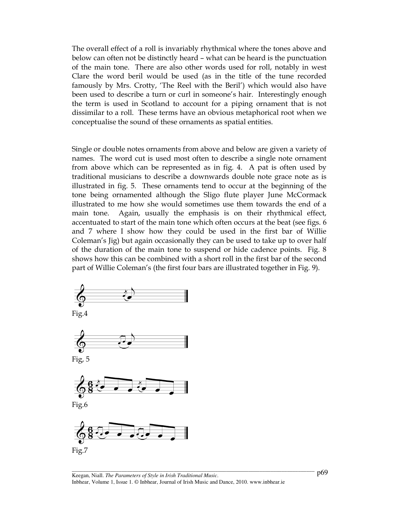The overall effect of a roll is invariably rhythmical where the tones above and below can often not be distinctly heard – what can be heard is the punctuation of the main tone. There are also other words used for roll, notably in west Clare the word beril would be used (as in the title of the tune recorded famously by Mrs. Crotty, 'The Reel with the Beril') which would also have been used to describe a turn or curl in someone's hair. Interestingly enough the term is used in Scotland to account for a piping ornament that is not dissimilar to a roll. These terms have an obvious metaphorical root when we conceptualise the sound of these ornaments as spatial entities.

Single or double notes ornaments from above and below are given a variety of names. The word cut is used most often to describe a single note ornament from above which can be represented as in fig. 4. A pat is often used by traditional musicians to describe a downwards double note grace note as is illustrated in fig. 5. These ornaments tend to occur at the beginning of the tone being ornamented although the Sligo flute player June McCormack illustrated to me how she would sometimes use them towards the end of a main tone. Again, usually the emphasis is on their rhythmical effect, accentuated to start of the main tone which often occurs at the beat (see figs. 6 and 7 where I show how they could be used in the first bar of Willie Coleman's Jig) but again occasionally they can be used to take up to over half of the duration of the main tone to suspend or hide cadence points. Fig. 8 shows how this can be combined with a short roll in the first bar of the second part of Willie Coleman's (the first four bars are illustrated together in Fig. 9).











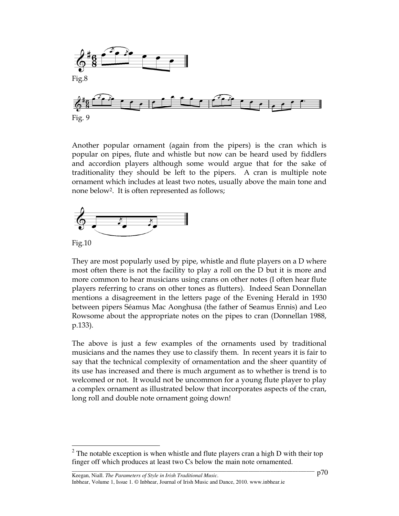

Another popular ornament (again from the pipers) is the cran which is popular on pipes, flute and whistle but now can be heard used by fiddlers and accordion players although some would argue that for the sake of traditionality they should be left to the pipers. A cran is multiple note ornament which includes at least two notes, usually above the main tone and none below<sup>2</sup>. It is often represented as follows;



Fig.10

 $\overline{\phantom{a}}$ 

They are most popularly used by pipe, whistle and flute players on a D where most often there is not the facility to play a roll on the D but it is more and more common to hear musicians using crans on other notes (I often hear flute players referring to crans on other tones as flutters). Indeed Sean Donnellan mentions a disagreement in the letters page of the Evening Herald in 1930 between pipers Séamus Mac Aonghusa (the father of Seamus Ennis) and Leo Rowsome about the appropriate notes on the pipes to cran (Donnellan 1988, p.133).

The above is just a few examples of the ornaments used by traditional musicians and the names they use to classify them. In recent years it is fair to say that the technical complexity of ornamentation and the sheer quantity of its use has increased and there is much argument as to whether is trend is to welcomed or not. It would not be uncommon for a young flute player to play a complex ornament as illustrated below that incorporates aspects of the cran, long roll and double note ornament going down!

<sup>&</sup>lt;sup>2</sup> The notable exception is when whistle and flute players cran a high D with their top finger off which produces at least two Cs below the main note ornamented.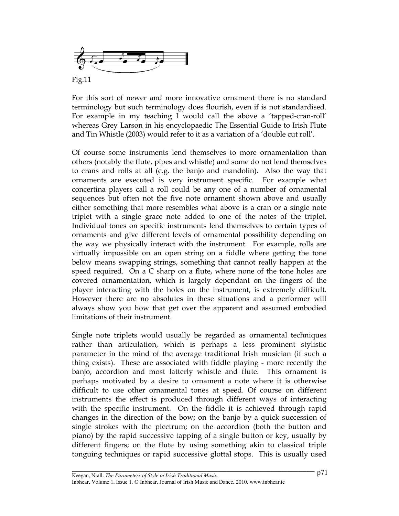

Fig.11

For this sort of newer and more innovative ornament there is no standard terminology but such terminology does flourish, even if is not standardised. For example in my teaching I would call the above a 'tapped-cran-roll' whereas Grey Larson in his encyclopaedic The Essential Guide to Irish Flute and Tin Whistle (2003) would refer to it as a variation of a 'double cut roll'.

Of course some instruments lend themselves to more ornamentation than others (notably the flute, pipes and whistle) and some do not lend themselves to crans and rolls at all (e.g. the banjo and mandolin). Also the way that ornaments are executed is very instrument specific. For example what concertina players call a roll could be any one of a number of ornamental sequences but often not the five note ornament shown above and usually either something that more resembles what above is a cran or a single note triplet with a single grace note added to one of the notes of the triplet. Individual tones on specific instruments lend themselves to certain types of ornaments and give different levels of ornamental possibility depending on the way we physically interact with the instrument. For example, rolls are virtually impossible on an open string on a fiddle where getting the tone below means swapping strings, something that cannot really happen at the speed required. On a C sharp on a flute, where none of the tone holes are covered ornamentation, which is largely dependant on the fingers of the player interacting with the holes on the instrument, is extremely difficult. However there are no absolutes in these situations and a performer will always show you how that get over the apparent and assumed embodied limitations of their instrument.

Single note triplets would usually be regarded as ornamental techniques rather than articulation, which is perhaps a less prominent stylistic parameter in the mind of the average traditional Irish musician (if such a thing exists). These are associated with fiddle playing - more recently the banjo, accordion and most latterly whistle and flute. This ornament is perhaps motivated by a desire to ornament a note where it is otherwise difficult to use other ornamental tones at speed. Of course on different instruments the effect is produced through different ways of interacting with the specific instrument. On the fiddle it is achieved through rapid changes in the direction of the bow; on the banjo by a quick succession of single strokes with the plectrum; on the accordion (both the button and piano) by the rapid successive tapping of a single button or key, usually by different fingers; on the flute by using something akin to classical triple tonguing techniques or rapid successive glottal stops. This is usually used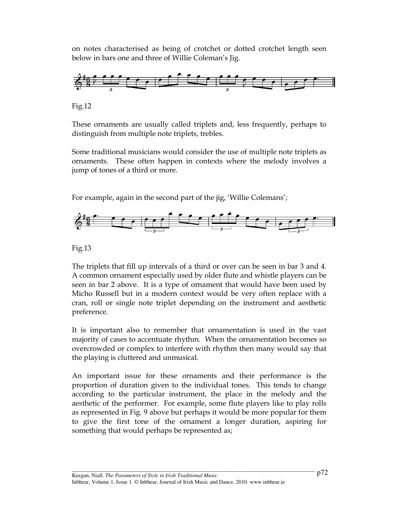on notes characterised as being of crotchet or dotted crotchet length seen below in bars one and three of Willie Coleman's Jig.



Fig.12

These ornaments are usually called triplets and, less frequently, perhaps to distinguish from multiple note triplets, trebles.

Some traditional musicians would consider the use of multiple note triplets as ornaments. These often happen in contexts where the melody involves a jump of tones of a third or more.

For example, again in the second part of the jig, 'Willie Colemans';



Fig.13

The triplets that fill up intervals of a third or over can be seen in bar 3 and 4. A common ornament especially used by older flute and whistle players can be seen in bar 2 above. It is a type of ornament that would have been used by Micho Russell but in a modern context would be very often replace with a cran, roll or single note triplet depending on the instrument and aesthetic preference.

It is important also to remember that ornamentation is used in the vast majority of cases to accentuate rhythm. When the ornamentation becomes so overcrowded or complex to interfere with rhythm then many would say that the playing is cluttered and unmusical.

An important issue for these ornaments and their performance is the proportion of duration given to the individual tones. This tends to change according to the particular instrument, the place in the melody and the aesthetic of the performer. For example, some flute players like to play rolls as represented in Fig. 9 above but perhaps it would be more popular for them to give the first tone of the ornament a longer duration, aspiring for something that would perhaps be represented as;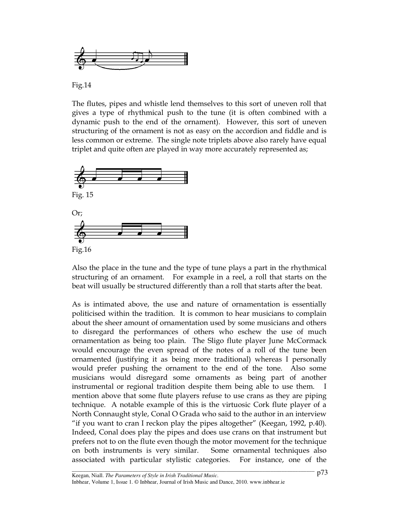

Fig.14

The flutes, pipes and whistle lend themselves to this sort of uneven roll that gives a type of rhythmical push to the tune (it is often combined with a dynamic push to the end of the ornament). However, this sort of uneven structuring of the ornament is not as easy on the accordion and fiddle and is less common or extreme. The single note triplets above also rarely have equal triplet and quite often are played in way more accurately represented as;



Also the place in the tune and the type of tune plays a part in the rhythmical structuring of an ornament. For example in a reel, a roll that starts on the beat will usually be structured differently than a roll that starts after the beat.

As is intimated above, the use and nature of ornamentation is essentially politicised within the tradition. It is common to hear musicians to complain about the sheer amount of ornamentation used by some musicians and others to disregard the performances of others who eschew the use of much ornamentation as being too plain. The Sligo flute player June McCormack would encourage the even spread of the notes of a roll of the tune been ornamented (justifying it as being more traditional) whereas I personally would prefer pushing the ornament to the end of the tone. Also some musicians would disregard some ornaments as being part of another instrumental or regional tradition despite them being able to use them. mention above that some flute players refuse to use crans as they are piping technique. A notable example of this is the virtuosic Cork flute player of a North Connaught style, Conal O Grada who said to the author in an interview "if you want to cran I reckon play the pipes altogether" (Keegan, 1992, p.40). Indeed, Conal does play the pipes and does use crans on that instrument but prefers not to on the flute even though the motor movement for the technique on both instruments is very similar. Some ornamental techniques also associated with particular stylistic categories. For instance, one of the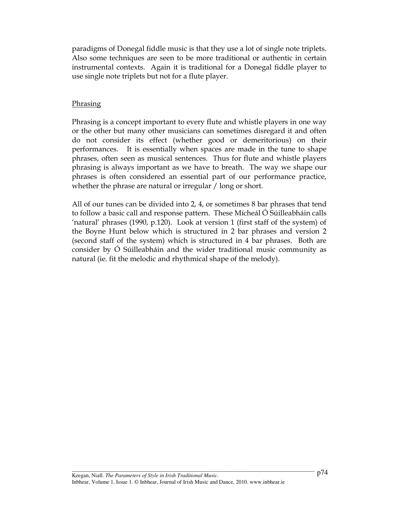paradigms of Donegal fiddle music is that they use a lot of single note triplets. Also some techniques are seen to be more traditional or authentic in certain instrumental contexts. Again it is traditional for a Donegal fiddle player to use single note triplets but not for a flute player.

### **Phrasing**

Phrasing is a concept important to every flute and whistle players in one way or the other but many other musicians can sometimes disregard it and often do not consider its effect (whether good or demeritorious) on their performances. It is essentially when spaces are made in the tune to shape phrases, often seen as musical sentences. Thus for flute and whistle players phrasing is always important as we have to breath. The way we shape our phrases is often considered an essential part of our performance practice, whether the phrase are natural or irregular / long or short.

All of our tunes can be divided into 2, 4, or sometimes 8 bar phrases that tend to follow a basic call and response pattern. These Mícheál Ó Súilleabháin calls 'natural' phrases (1990, p.120). Look at version 1 (first staff of the system) of the Boyne Hunt below which is structured in 2 bar phrases and version 2 (second staff of the system) which is structured in 4 bar phrases. Both are consider by Ó Súilleabháin and the wider traditional music community as natural (ie. fit the melodic and rhythmical shape of the melody).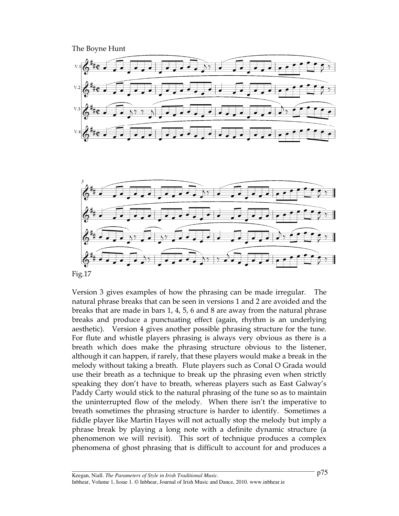The Boyne Hunt





Fig.17

Version 3 gives examples of how the phrasing can be made irregular. The natural phrase breaks that can be seen in versions 1 and 2 are avoided and the breaks that are made in bars 1, 4, 5, 6 and 8 are away from the natural phrase breaks and produce a punctuating effect (again, rhythm is an underlying aesthetic). Version 4 gives another possible phrasing structure for the tune. For flute and whistle players phrasing is always very obvious as there is a breath which does make the phrasing structure obvious to the listener, although it can happen, if rarely, that these players would make a break in the melody without taking a breath. Flute players such as Conal O Grada would use their breath as a technique to break up the phrasing even when strictly speaking they don't have to breath, whereas players such as East Galway's Paddy Carty would stick to the natural phrasing of the tune so as to maintain the uninterrupted flow of the melody. When there isn't the imperative to breath sometimes the phrasing structure is harder to identify. Sometimes a fiddle player like Martin Hayes will not actually stop the melody but imply a phrase break by playing a long note with a definite dynamic structure (a phenomenon we will revisit). This sort of technique produces a complex phenomena of ghost phrasing that is difficult to account for and produces a

\_\_\_\_\_\_\_\_\_\_\_\_\_\_\_\_\_\_\_\_\_\_\_\_\_\_\_\_\_\_\_\_\_\_\_\_\_\_\_\_\_\_\_\_\_\_\_\_\_\_\_\_\_\_\_\_\_\_\_\_\_\_\_\_\_\_\_\_\_\_\_\_\_\_\_\_\_\_\_\_\_\_\_\_\_\_\_\_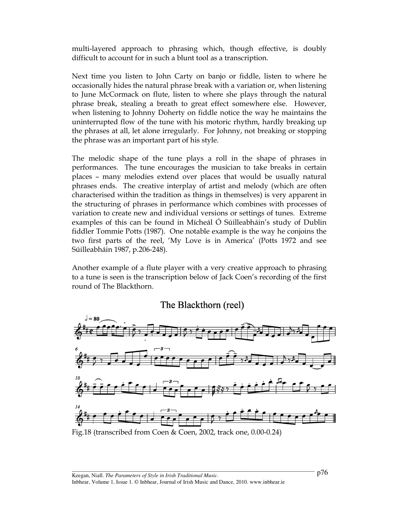multi-layered approach to phrasing which, though effective, is doubly difficult to account for in such a blunt tool as a transcription.

Next time you listen to John Carty on banjo or fiddle, listen to where he occasionally hides the natural phrase break with a variation or, when listening to June McCormack on flute, listen to where she plays through the natural phrase break, stealing a breath to great effect somewhere else. However, when listening to Johnny Doherty on fiddle notice the way he maintains the uninterrupted flow of the tune with his motoric rhythm, hardly breaking up the phrases at all, let alone irregularly. For Johnny, not breaking or stopping the phrase was an important part of his style.

The melodic shape of the tune plays a roll in the shape of phrases in performances. The tune encourages the musician to take breaks in certain places – many melodies extend over places that would be usually natural phrases ends. The creative interplay of artist and melody (which are often characterised within the tradition as things in themselves) is very apparent in the structuring of phrases in performance which combines with processes of variation to create new and individual versions or settings of tunes. Extreme examples of this can be found in Mícheál Ó Súilleabháin's study of Dublin fiddler Tommie Potts (1987). One notable example is the way he conjoins the two first parts of the reel, 'My Love is in America' (Potts 1972 and see Súilleabháin 1987, p.206-248).

Another example of a flute player with a very creative approach to phrasing to a tune is seen is the transcription below of Jack Coen's recording of the first round of The Blackthorn.

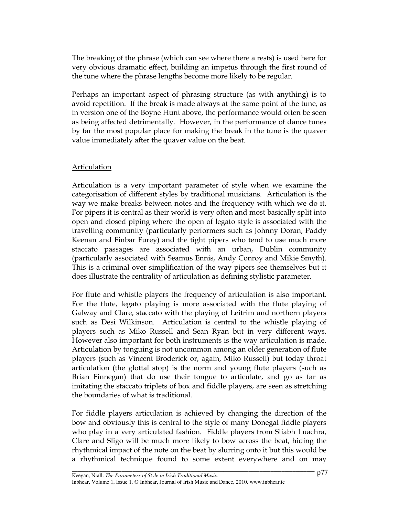The breaking of the phrase (which can see where there a rests) is used here for very obvious dramatic effect, building an impetus through the first round of the tune where the phrase lengths become more likely to be regular.

Perhaps an important aspect of phrasing structure (as with anything) is to avoid repetition. If the break is made always at the same point of the tune, as in version one of the Boyne Hunt above, the performance would often be seen as being affected detrimentally. However, in the performance of dance tunes by far the most popular place for making the break in the tune is the quaver value immediately after the quaver value on the beat.

## Articulation

Articulation is a very important parameter of style when we examine the categorisation of different styles by traditional musicians. Articulation is the way we make breaks between notes and the frequency with which we do it. For pipers it is central as their world is very often and most basically split into open and closed piping where the open of legato style is associated with the travelling community (particularly performers such as Johnny Doran, Paddy Keenan and Finbar Furey) and the tight pipers who tend to use much more staccato passages are associated with an urban, Dublin community (particularly associated with Seamus Ennis, Andy Conroy and Mikie Smyth). This is a criminal over simplification of the way pipers see themselves but it does illustrate the centrality of articulation as defining stylistic parameter.

For flute and whistle players the frequency of articulation is also important. For the flute, legato playing is more associated with the flute playing of Galway and Clare, staccato with the playing of Leitrim and northern players such as Desi Wilkinson. Articulation is central to the whistle playing of players such as Miko Russell and Sean Ryan but in very different ways. However also important for both instruments is the way articulation is made. Articulation by tonguing is not uncommon among an older generation of flute players (such as Vincent Broderick or, again, Miko Russell) but today throat articulation (the glottal stop) is the norm and young flute players (such as Brian Finnegan) that do use their tongue to articulate, and go as far as imitating the staccato triplets of box and fiddle players, are seen as stretching the boundaries of what is traditional.

For fiddle players articulation is achieved by changing the direction of the bow and obviously this is central to the style of many Donegal fiddle players who play in a very articulated fashion. Fiddle players from Sliabh Luachra, Clare and Sligo will be much more likely to bow across the beat, hiding the rhythmical impact of the note on the beat by slurring onto it but this would be a rhythmical technique found to some extent everywhere and on may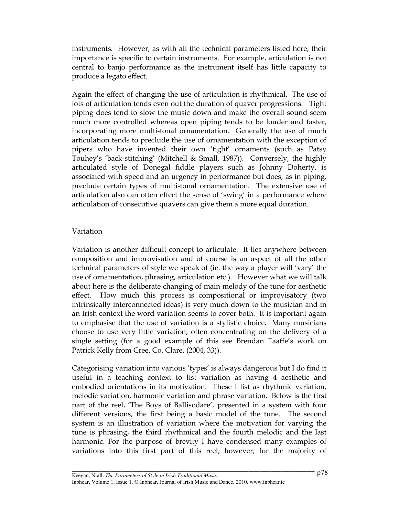instruments. However, as with all the technical parameters listed here, their importance is specific to certain instruments. For example, articulation is not central to banjo performance as the instrument itself has little capacity to produce a legato effect.

Again the effect of changing the use of articulation is rhythmical. The use of lots of articulation tends even out the duration of quaver progressions. Tight piping does tend to slow the music down and make the overall sound seem much more controlled whereas open piping tends to be louder and faster, incorporating more multi-tonal ornamentation. Generally the use of much articulation tends to preclude the use of ornamentation with the exception of pipers who have invented their own 'tight' ornaments (such as Patsy Touhey's 'back-stitching' (Mitchell & Small, 1987)). Conversely, the highly articulated style of Donegal fiddle players such as Johnny Doherty, is associated with speed and an urgency in performance but does, as in piping, preclude certain types of multi-tonal ornamentation. The extensive use of articulation also can often effect the sense of 'swing' in a performance where articulation of consecutive quavers can give them a more equal duration.

## Variation

Variation is another difficult concept to articulate. It lies anywhere between composition and improvisation and of course is an aspect of all the other technical parameters of style we speak of (ie. the way a player will 'vary' the use of ornamentation, phrasing, articulation etc.). However what we will talk about here is the deliberate changing of main melody of the tune for aesthetic effect. How much this process is compositional or improvisatory (two intrinsically interconnected ideas) is very much down to the musician and in an Irish context the word variation seems to cover both. It is important again to emphasise that the use of variation is a stylistic choice. Many musicians choose to use very little variation, often concentrating on the delivery of a single setting (for a good example of this see Brendan Taaffe's work on Patrick Kelly from Cree, Co. Clare, (2004, 33)).

Categorising variation into various 'types' is always dangerous but I do find it useful in a teaching context to list variation as having 4 aesthetic and embodied orientations in its motivation. These I list as rhythmic variation, melodic variation, harmonic variation and phrase variation. Below is the first part of the reel, 'The Boys of Ballisodare', presented in a system with four different versions, the first being a basic model of the tune. The second system is an illustration of variation where the motivation for varying the tune is phrasing, the third rhythmical and the fourth melodic and the last harmonic. For the purpose of brevity I have condensed many examples of variations into this first part of this reel; however, for the majority of

\_\_\_\_\_\_\_\_\_\_\_\_\_\_\_\_\_\_\_\_\_\_\_\_\_\_\_\_\_\_\_\_\_\_\_\_\_\_\_\_\_\_\_\_\_\_\_\_\_\_\_\_\_\_\_\_\_\_\_\_\_\_\_\_\_\_\_\_\_\_\_\_\_\_\_\_\_\_\_\_\_\_\_\_\_\_\_\_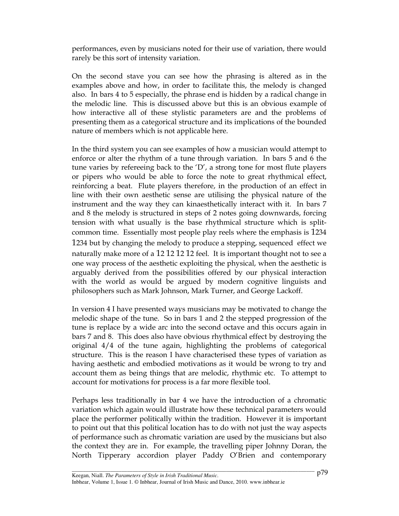performances, even by musicians noted for their use of variation, there would rarely be this sort of intensity variation.

On the second stave you can see how the phrasing is altered as in the examples above and how, in order to facilitate this, the melody is changed also. In bars 4 to 5 especially, the phrase end is hidden by a radical change in the melodic line. This is discussed above but this is an obvious example of how interactive all of these stylistic parameters are and the problems of presenting them as a categorical structure and its implications of the bounded nature of members which is not applicable here.

In the third system you can see examples of how a musician would attempt to enforce or alter the rhythm of a tune through variation. In bars 5 and 6 the tune varies by refereeing back to the 'D', a strong tone for most flute players or pipers who would be able to force the note to great rhythmical effect, reinforcing a beat. Flute players therefore, in the production of an effect in line with their own aesthetic sense are utilising the physical nature of the instrument and the way they can kinaesthetically interact with it. In bars 7 and 8 the melody is structured in steps of 2 notes going downwards, forcing tension with what usually is the base rhythmical structure which is splitcommon time. Essentially most people play reels where the emphasis is 1234 1234 but by changing the melody to produce a stepping, sequenced effect we naturally make more of a 12 12 12 12 feel. It is important thought not to see a one way process of the aesthetic exploiting the physical, when the aesthetic is arguably derived from the possibilities offered by our physical interaction with the world as would be argued by modern cognitive linguists and philosophers such as Mark Johnson, Mark Turner, and George Lackoff.

In version 4 I have presented ways musicians may be motivated to change the melodic shape of the tune. So in bars 1 and 2 the stepped progression of the tune is replace by a wide arc into the second octave and this occurs again in bars 7 and 8. This does also have obvious rhythmical effect by destroying the original 4/4 of the tune again, highlighting the problems of categorical structure. This is the reason I have characterised these types of variation as having aesthetic and embodied motivations as it would be wrong to try and account them as being things that are melodic, rhythmic etc. To attempt to account for motivations for process is a far more flexible tool.

Perhaps less traditionally in bar 4 we have the introduction of a chromatic variation which again would illustrate how these technical parameters would place the performer politically within the tradition. However it is important to point out that this political location has to do with not just the way aspects of performance such as chromatic variation are used by the musicians but also the context they are in. For example, the travelling piper Johnny Doran, the North Tipperary accordion player Paddy O'Brien and contemporary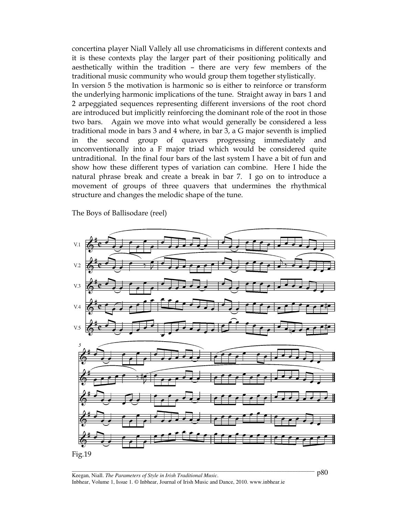concertina player Niall Vallely all use chromaticisms in different contexts and it is these contexts play the larger part of their positioning politically and aesthetically within the tradition – there are very few members of the traditional music community who would group them together stylistically.

In version 5 the motivation is harmonic so is either to reinforce or transform the underlying harmonic implications of the tune. Straight away in bars 1 and 2 arpeggiated sequences representing different inversions of the root chord are introduced but implicitly reinforcing the dominant role of the root in those two bars. Again we move into what would generally be considered a less traditional mode in bars 3 and 4 where, in bar 3, a G major seventh is implied in the second group of quavers progressing immediately and unconventionally into a F major triad which would be considered quite untraditional. In the final four bars of the last system I have a bit of fun and show how these different types of variation can combine. Here I hide the natural phrase break and create a break in bar 7. I go on to introduce a movement of groups of three quavers that undermines the rhythmical structure and changes the melodic shape of the tune.

The Boys of Ballisodare (reel)



p80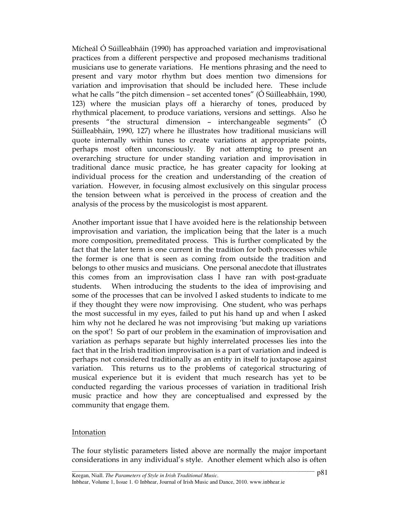Mícheál Ó Súilleabháin (1990) has approached variation and improvisational practices from a different perspective and proposed mechanisms traditional musicians use to generate variations. He mentions phrasing and the need to present and vary motor rhythm but does mention two dimensions for variation and improvisation that should be included here. These include what he calls "the pitch dimension – set accented tones" (Ó Súilleabháin, 1990, 123) where the musician plays off a hierarchy of tones, produced by rhythmical placement, to produce variations, versions and settings. Also he presents "the structural dimension – interchangeable segments" (Ó Súilleabháin, 1990, 127) where he illustrates how traditional musicians will quote internally within tunes to create variations at appropriate points, perhaps most often unconsciously. By not attempting to present an overarching structure for under standing variation and improvisation in traditional dance music practice, he has greater capacity for looking at individual process for the creation and understanding of the creation of variation. However, in focusing almost exclusively on this singular process the tension between what is perceived in the process of creation and the analysis of the process by the musicologist is most apparent.

Another important issue that I have avoided here is the relationship between improvisation and variation, the implication being that the later is a much more composition, premeditated process. This is further complicated by the fact that the later term is one current in the tradition for both processes while the former is one that is seen as coming from outside the tradition and belongs to other musics and musicians. One personal anecdote that illustrates this comes from an improvisation class I have ran with post-graduate students. When introducing the students to the idea of improvising and some of the processes that can be involved I asked students to indicate to me if they thought they were now improvising. One student, who was perhaps the most successful in my eyes, failed to put his hand up and when I asked him why not he declared he was not improvising 'but making up variations on the spot'! So part of our problem in the examination of improvisation and variation as perhaps separate but highly interrelated processes lies into the fact that in the Irish tradition improvisation is a part of variation and indeed is perhaps not considered traditionally as an entity in itself to juxtapose against variation. This returns us to the problems of categorical structuring of musical experience but it is evident that much research has yet to be conducted regarding the various processes of variation in traditional Irish music practice and how they are conceptualised and expressed by the community that engage them.

## **Intonation**

The four stylistic parameters listed above are normally the major important considerations in any individual's style. Another element which also is often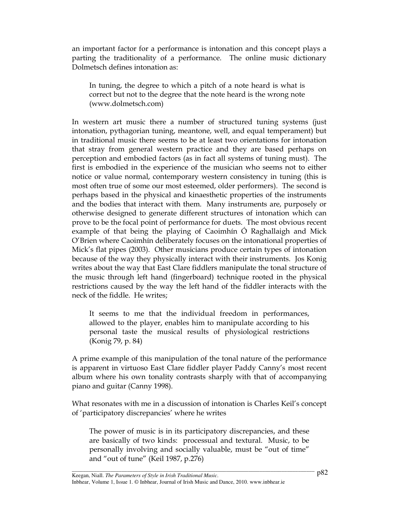an important factor for a performance is intonation and this concept plays a parting the traditionality of a performance. The online music dictionary Dolmetsch defines intonation as:

In tuning, the degree to which a pitch of a note heard is what is correct but not to the degree that the note heard is the wrong note (www.dolmetsch.com)

In western art music there a number of structured tuning systems (just intonation, pythagorian tuning, meantone, well, and equal temperament) but in traditional music there seems to be at least two orientations for intonation that stray from general western practice and they are based perhaps on perception and embodied factors (as in fact all systems of tuning must). The first is embodied in the experience of the musician who seems not to either notice or value normal, contemporary western consistency in tuning (this is most often true of some our most esteemed, older performers). The second is perhaps based in the physical and kinaesthetic properties of the instruments and the bodies that interact with them. Many instruments are, purposely or otherwise designed to generate different structures of intonation which can prove to be the focal point of performance for duets. The most obvious recent example of that being the playing of Caoimhín Ó Raghallaigh and Mick O'Brien where Caoimhín deliberately focuses on the intonational properties of Mick's flat pipes (2003). Other musicians produce certain types of intonation because of the way they physically interact with their instruments. Jos Konig writes about the way that East Clare fiddlers manipulate the tonal structure of the music through left hand (fingerboard) technique rooted in the physical restrictions caused by the way the left hand of the fiddler interacts with the neck of the fiddle. He writes;

It seems to me that the individual freedom in performances, allowed to the player, enables him to manipulate according to his personal taste the musical results of physiological restrictions (Konig 79, p. 84)

A prime example of this manipulation of the tonal nature of the performance is apparent in virtuoso East Clare fiddler player Paddy Canny's most recent album where his own tonality contrasts sharply with that of accompanying piano and guitar (Canny 1998).

What resonates with me in a discussion of intonation is Charles Keil's concept of 'participatory discrepancies' where he writes

The power of music is in its participatory discrepancies, and these are basically of two kinds: processual and textural. Music, to be personally involving and socially valuable, must be "out of time" and "out of tune" (Keil 1987, p.276)

\_\_\_\_\_\_\_\_\_\_\_\_\_\_\_\_\_\_\_\_\_\_\_\_\_\_\_\_\_\_\_\_\_\_\_\_\_\_\_\_\_\_\_\_\_\_\_\_\_\_\_\_\_\_\_\_\_\_\_\_\_\_\_\_\_\_\_\_\_\_\_\_\_\_\_\_\_\_\_\_\_\_\_\_\_\_\_\_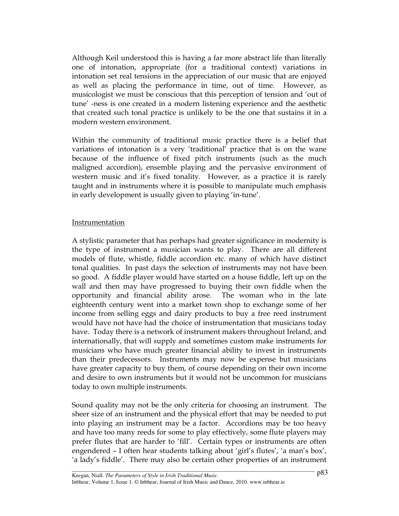Although Keil understood this is having a far more abstract life than literally one of intonation, appropriate (for a traditional context) variations in intonation set real tensions in the appreciation of our music that are enjoyed as well as placing the performance in time, out of time. However, as musicologist we must be conscious that this perception of tension and 'out of tune' -ness is one created in a modern listening experience and the aesthetic that created such tonal practice is unlikely to be the one that sustains it in a modern western environment.

Within the community of traditional music practice there is a belief that variations of intonation is a very 'traditional' practice that is on the wane because of the influence of fixed pitch instruments (such as the much maligned accordion), ensemble playing and the pervasive environment of western music and it's fixed tonality. However, as a practice it is rarely taught and in instruments where it is possible to manipulate much emphasis in early development is usually given to playing 'in-tune'.

## Instrumentation

A stylistic parameter that has perhaps had greater significance in modernity is the type of instrument a musician wants to play. There are all different models of flute, whistle, fiddle accordion etc. many of which have distinct tonal qualities. In past days the selection of instruments may not have been so good. A fiddle player would have started on a house fiddle, left up on the wall and then may have progressed to buying their own fiddle when the opportunity and financial ability arose. The woman who in the late eighteenth century went into a market town shop to exchange some of her income from selling eggs and dairy products to buy a free reed instrument would have not have had the choice of instrumentation that musicians today have. Today there is a network of instrument makers throughout Ireland, and internationally, that will supply and sometimes custom make instruments for musicians who have much greater financial ability to invest in instruments than their predecessors. Instruments may now be expense but musicians have greater capacity to buy them, of course depending on their own income and desire to own instruments but it would not be uncommon for musicians today to own multiple instruments.

Sound quality may not be the only criteria for choosing an instrument. The sheer size of an instrument and the physical effort that may be needed to put into playing an instrument may be a factor. Accordions may be too heavy and have too many reeds for some to play effectively, some flute players may prefer flutes that are harder to 'fill'. Certain types or instruments are often engendered – I often hear students talking about 'girl's flutes', 'a man's box', 'a lady's fiddle'. There may also be certain other properties of an instrument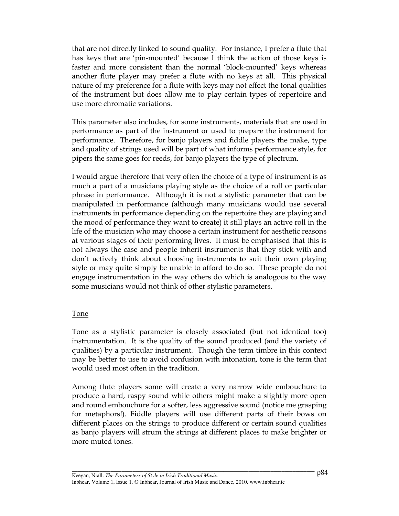that are not directly linked to sound quality. For instance, I prefer a flute that has keys that are 'pin-mounted' because I think the action of those keys is faster and more consistent than the normal 'block-mounted' keys whereas another flute player may prefer a flute with no keys at all. This physical nature of my preference for a flute with keys may not effect the tonal qualities of the instrument but does allow me to play certain types of repertoire and use more chromatic variations.

This parameter also includes, for some instruments, materials that are used in performance as part of the instrument or used to prepare the instrument for performance. Therefore, for banjo players and fiddle players the make, type and quality of strings used will be part of what informs performance style, for pipers the same goes for reeds, for banjo players the type of plectrum.

I would argue therefore that very often the choice of a type of instrument is as much a part of a musicians playing style as the choice of a roll or particular phrase in performance. Although it is not a stylistic parameter that can be manipulated in performance (although many musicians would use several instruments in performance depending on the repertoire they are playing and the mood of performance they want to create) it still plays an active roll in the life of the musician who may choose a certain instrument for aesthetic reasons at various stages of their performing lives. It must be emphasised that this is not always the case and people inherit instruments that they stick with and don't actively think about choosing instruments to suit their own playing style or may quite simply be unable to afford to do so. These people do not engage instrumentation in the way others do which is analogous to the way some musicians would not think of other stylistic parameters.

## Tone

Tone as a stylistic parameter is closely associated (but not identical too) instrumentation. It is the quality of the sound produced (and the variety of qualities) by a particular instrument. Though the term timbre in this context may be better to use to avoid confusion with intonation, tone is the term that would used most often in the tradition.

Among flute players some will create a very narrow wide embouchure to produce a hard, raspy sound while others might make a slightly more open and round embouchure for a softer, less aggressive sound (notice me grasping for metaphors!). Fiddle players will use different parts of their bows on different places on the strings to produce different or certain sound qualities as banjo players will strum the strings at different places to make brighter or more muted tones.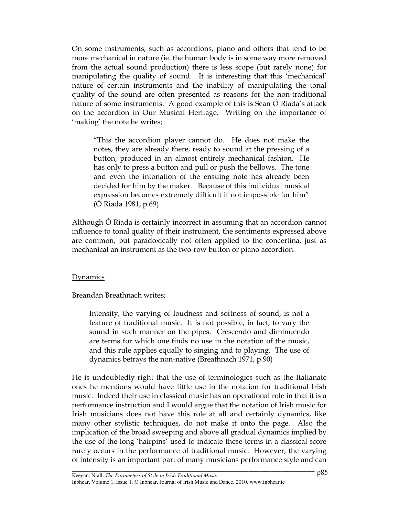On some instruments, such as accordions, piano and others that tend to be more mechanical in nature (ie. the human body is in some way more removed from the actual sound production) there is less scope (but rarely none) for manipulating the quality of sound. It is interesting that this 'mechanical' nature of certain instruments and the inability of manipulating the tonal quality of the sound are often presented as reasons for the non-traditional nature of some instruments. A good example of this is Sean Ó Riada's attack on the accordion in Our Musical Heritage. Writing on the importance of 'making' the note he writes;

"This the accordion player cannot do. He does not make the notes, they are already there, ready to sound at the pressing of a button, produced in an almost entirely mechanical fashion. He has only to press a button and pull or push the bellows. The tone and even the intonation of the ensuing note has already been decided for him by the maker. Because of this individual musical expression becomes extremely difficult if not impossible for him" (Ó Riada 1981, p.69)

Although Ó Riada is certainly incorrect in assuming that an accordion cannot influence to tonal quality of their instrument, the sentiments expressed above are common, but paradoxically not often applied to the concertina, just as mechanical an instrument as the two-row button or piano accordion.

#### Dynamics

Breandán Breathnach writes;

Intensity, the varying of loudness and softness of sound, is not a feature of traditional music. It is not possible, in fact, to vary the sound in such manner on the pipes. Crescendo and diminuendo are terms for which one finds no use in the notation of the music, and this rule applies equally to singing and to playing. The use of dynamics betrays the non-native (Breathnach 1971, p.90)

He is undoubtedly right that the use of terminologies such as the Italianate ones he mentions would have little use in the notation for traditional Irish music. Indeed their use in classical music has an operational role in that it is a performance instruction and I would argue that the notation of Irish music for Irish musicians does not have this role at all and certainly dynamics, like many other stylistic techniques, do not make it onto the page. Also the implication of the broad sweeping and above all gradual dynamics implied by the use of the long 'hairpins' used to indicate these terms in a classical score rarely occurs in the performance of traditional music. However, the varying of intensity is an important part of many musicians performance style and can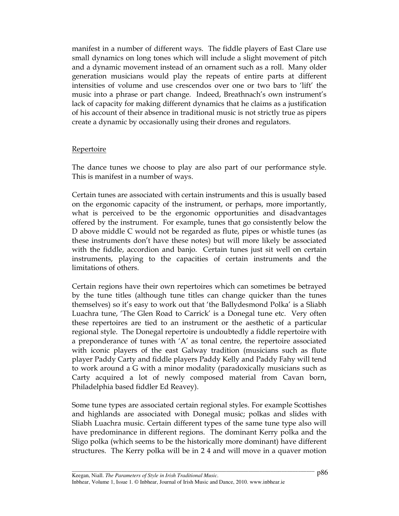manifest in a number of different ways. The fiddle players of East Clare use small dynamics on long tones which will include a slight movement of pitch and a dynamic movement instead of an ornament such as a roll. Many older generation musicians would play the repeats of entire parts at different intensities of volume and use crescendos over one or two bars to 'lift' the music into a phrase or part change. Indeed, Breathnach's own instrument's lack of capacity for making different dynamics that he claims as a justification of his account of their absence in traditional music is not strictly true as pipers create a dynamic by occasionally using their drones and regulators.

## Repertoire

The dance tunes we choose to play are also part of our performance style. This is manifest in a number of ways.

Certain tunes are associated with certain instruments and this is usually based on the ergonomic capacity of the instrument, or perhaps, more importantly, what is perceived to be the ergonomic opportunities and disadvantages offered by the instrument. For example, tunes that go consistently below the D above middle C would not be regarded as flute, pipes or whistle tunes (as these instruments don't have these notes) but will more likely be associated with the fiddle, accordion and banjo. Certain tunes just sit well on certain instruments, playing to the capacities of certain instruments and the limitations of others.

Certain regions have their own repertoires which can sometimes be betrayed by the tune titles (although tune titles can change quicker than the tunes themselves) so it's easy to work out that 'the Ballydesmond Polka' is a Sliabh Luachra tune, 'The Glen Road to Carrick' is a Donegal tune etc. Very often these repertoires are tied to an instrument or the aesthetic of a particular regional style. The Donegal repertoire is undoubtedly a fiddle repertoire with a preponderance of tunes with 'A' as tonal centre, the repertoire associated with iconic players of the east Galway tradition (musicians such as flute player Paddy Carty and fiddle players Paddy Kelly and Paddy Fahy will tend to work around a G with a minor modality (paradoxically musicians such as Carty acquired a lot of newly composed material from Cavan born, Philadelphia based fiddler Ed Reavey).

Some tune types are associated certain regional styles. For example Scottishes and highlands are associated with Donegal music; polkas and slides with Sliabh Luachra music. Certain different types of the same tune type also will have predominance in different regions. The dominant Kerry polka and the Sligo polka (which seems to be the historically more dominant) have different structures. The Kerry polka will be in 2 4 and will move in a quaver motion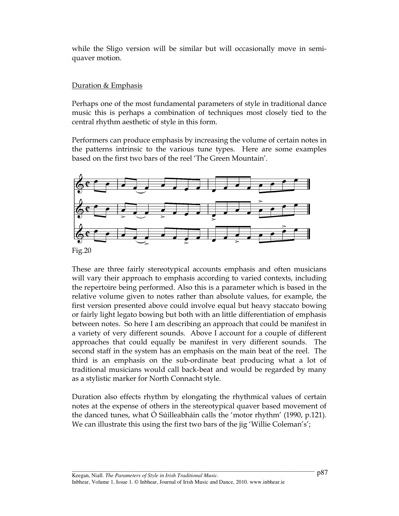while the Sligo version will be similar but will occasionally move in semiquaver motion.

## Duration & Emphasis

Perhaps one of the most fundamental parameters of style in traditional dance music this is perhaps a combination of techniques most closely tied to the central rhythm aesthetic of style in this form.

Performers can produce emphasis by increasing the volume of certain notes in the patterns intrinsic to the various tune types. Here are some examples based on the first two bars of the reel 'The Green Mountain'.



These are three fairly stereotypical accounts emphasis and often musicians will vary their approach to emphasis according to varied contexts, including the repertoire being performed. Also this is a parameter which is based in the relative volume given to notes rather than absolute values, for example, the first version presented above could involve equal but heavy staccato bowing or fairly light legato bowing but both with an little differentiation of emphasis between notes. So here I am describing an approach that could be manifest in a variety of very different sounds. Above I account for a couple of different approaches that could equally be manifest in very different sounds. The second staff in the system has an emphasis on the main beat of the reel. The third is an emphasis on the sub-ordinate beat producing what a lot of traditional musicians would call back-beat and would be regarded by many as a stylistic marker for North Connacht style.

Duration also effects rhythm by elongating the rhythmical values of certain notes at the expense of others in the stereotypical quaver based movement of the danced tunes, what Ó Súilleabháin calls the 'motor rhythm' (1990, p.121). We can illustrate this using the first two bars of the jig 'Willie Coleman's';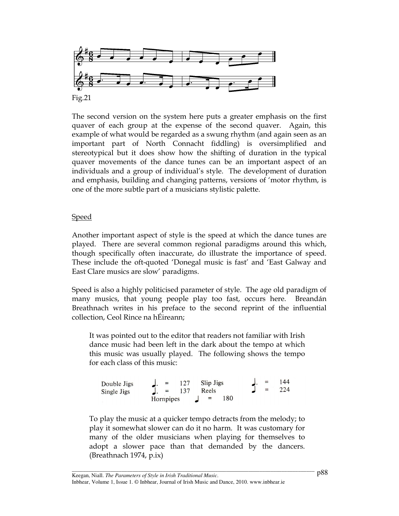

The second version on the system here puts a greater emphasis on the first quaver of each group at the expense of the second quaver. Again, this example of what would be regarded as a swung rhythm (and again seen as an important part of North Connacht fiddling) is oversimplified and stereotypical but it does show how the shifting of duration in the typical quaver movements of the dance tunes can be an important aspect of an individuals and a group of individual's style. The development of duration and emphasis, building and changing patterns, versions of 'motor rhythm, is one of the more subtle part of a musicians stylistic palette.

## Speed

Another important aspect of style is the speed at which the dance tunes are played. There are several common regional paradigms around this which, though specifically often inaccurate, do illustrate the importance of speed. These include the oft-quoted 'Donegal music is fast' and 'East Galway and East Clare musics are slow' paradigms.

Speed is also a highly politicised parameter of style. The age old paradigm of many musics, that young people play too fast, occurs here. Breandán Breathnach writes in his preface to the second reprint of the influential collection, Ceol Rince na hÉireann;

It was pointed out to the editor that readers not familiar with Irish dance music had been left in the dark about the tempo at which this music was usually played. The following shows the tempo for each class of this music:

 $\begin{cases}\n= 127 & \text{Slip Jigs} \\
= 137 & \text{Reels}\n\end{cases}$ 144 Double Jigs  $224$ **Single Jigs** 180 Hornpipes

To play the music at a quicker tempo detracts from the melody; to play it somewhat slower can do it no harm. It was customary for many of the older musicians when playing for themselves to adopt a slower pace than that demanded by the dancers. (Breathnach 1974, p.ix)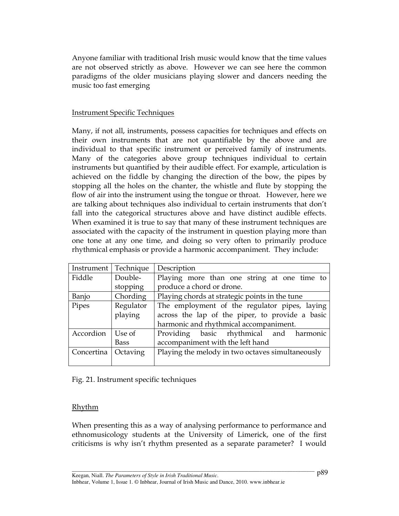Anyone familiar with traditional Irish music would know that the time values are not observed strictly as above. However we can see here the common paradigms of the older musicians playing slower and dancers needing the music too fast emerging

## Instrument Specific Techniques

Many, if not all, instruments, possess capacities for techniques and effects on their own instruments that are not quantifiable by the above and are individual to that specific instrument or perceived family of instruments. Many of the categories above group techniques individual to certain instruments but quantified by their audible effect. For example, articulation is achieved on the fiddle by changing the direction of the bow, the pipes by stopping all the holes on the chanter, the whistle and flute by stopping the flow of air into the instrument using the tongue or throat. However, here we are talking about techniques also individual to certain instruments that don't fall into the categorical structures above and have distinct audible effects. When examined it is true to say that many of these instrument techniques are associated with the capacity of the instrument in question playing more than one tone at any one time, and doing so very often to primarily produce rhythmical emphasis or provide a harmonic accompaniment. They include:

| Instrument | Technique | Description                                      |
|------------|-----------|--------------------------------------------------|
| Fiddle     | Double-   | Playing more than one string at one time to      |
|            | stopping  | produce a chord or drone.                        |
| Banjo      | Chording  | Playing chords at strategic points in the tune   |
| Pipes      | Regulator | The employment of the regulator pipes, laying    |
|            | playing   | across the lap of the piper, to provide a basic  |
|            |           | harmonic and rhythmical accompaniment.           |
| Accordion  | Use of    | Providing basic rhythmical and harmonic          |
|            | Bass      | accompaniment with the left hand                 |
| Concertina | Octaving  | Playing the melody in two octaves simultaneously |
|            |           |                                                  |

Fig. 21. Instrument specific techniques

## Rhythm

When presenting this as a way of analysing performance to performance and ethnomusicology students at the University of Limerick, one of the first criticisms is why isn't rhythm presented as a separate parameter? I would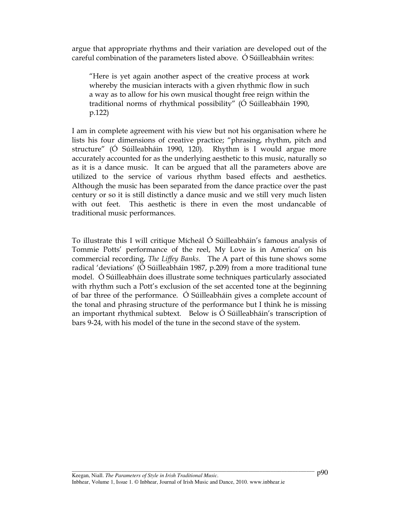argue that appropriate rhythms and their variation are developed out of the careful combination of the parameters listed above. Ó Súilleabháin writes:

"Here is yet again another aspect of the creative process at work whereby the musician interacts with a given rhythmic flow in such a way as to allow for his own musical thought free reign within the traditional norms of rhythmical possibility" (Ó Súilleabháin 1990, p.122)

I am in complete agreement with his view but not his organisation where he lists his four dimensions of creative practice; "phrasing, rhythm, pitch and structure" (Ó Súilleabháin 1990, 120). Rhythm is I would argue more accurately accounted for as the underlying aesthetic to this music, naturally so as it is a dance music. It can be argued that all the parameters above are utilized to the service of various rhythm based effects and aesthetics. Although the music has been separated from the dance practice over the past century or so it is still distinctly a dance music and we still very much listen with out feet. This aesthetic is there in even the most undancable of traditional music performances.

To illustrate this I will critique Mícheál Ó Súilleabháin's famous analysis of Tommie Potts' performance of the reel, My Love is in America' on his commercial recording, The Liffey Banks. The A part of this tune shows some radical 'deviations' (Ó Súilleabháin 1987, p.209) from a more traditional tune model. Ó Súilleabháin does illustrate some techniques particularly associated with rhythm such a Pott's exclusion of the set accented tone at the beginning of bar three of the performance. Ó Súilleabháin gives a complete account of the tonal and phrasing structure of the performance but I think he is missing an important rhythmical subtext. Below is Ó Súilleabháin's transcription of bars 9-24, with his model of the tune in the second stave of the system.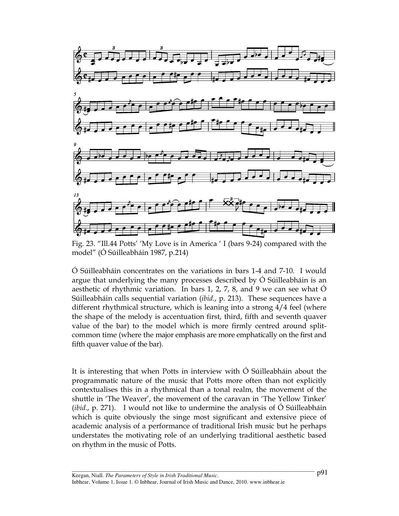

Fig. 23. "Ill.44 Potts' 'My Love is in America ' I (bars 9-24) compared with the model" (Ó Súilleabháin 1987, p.214)

Ó Súilleabháin concentrates on the variations in bars 1-4 and 7-10. I would argue that underlying the many processes described by Ó Súilleabháin is an aesthetic of rhythmic variation. In bars 1, 2, 7, 8, and 9 we can see what Ó Súilleabháin calls sequential variation (ibid., p. 213). These sequences have a different rhythmical structure, which is leaning into a strong 4/4 feel (where the shape of the melody is accentuation first, third, fifth and seventh quaver value of the bar) to the model which is more firmly centred around splitcommon time (where the major emphasis are more emphatically on the first and fifth quaver value of the bar).

It is interesting that when Potts in interview with Ó Súilleabháin about the programmatic nature of the music that Potts more often than not explicitly contextualises this in a rhythmical than a tonal realm, the movement of the shuttle in 'The Weaver', the movement of the caravan in 'The Yellow Tinker' (ibid., p. 271). I would not like to undermine the analysis of Ó Súilleabháin which is quite obviously the singe most significant and extensive piece of academic analysis of a performance of traditional Irish music but he perhaps understates the motivating role of an underlying traditional aesthetic based on rhythm in the music of Potts.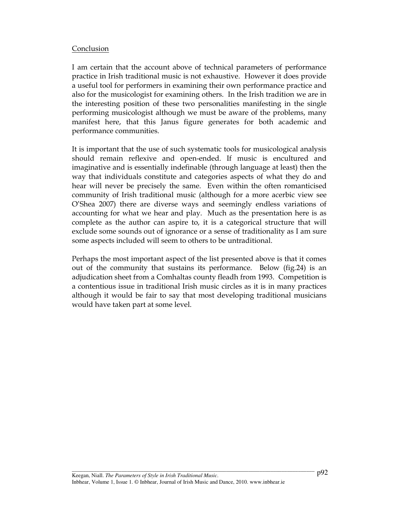## Conclusion

I am certain that the account above of technical parameters of performance practice in Irish traditional music is not exhaustive. However it does provide a useful tool for performers in examining their own performance practice and also for the musicologist for examining others. In the Irish tradition we are in the interesting position of these two personalities manifesting in the single performing musicologist although we must be aware of the problems, many manifest here, that this Janus figure generates for both academic and performance communities.

It is important that the use of such systematic tools for musicological analysis should remain reflexive and open-ended. If music is encultured and imaginative and is essentially indefinable (through language at least) then the way that individuals constitute and categories aspects of what they do and hear will never be precisely the same. Even within the often romanticised community of Irish traditional music (although for a more acerbic view see O'Shea 2007) there are diverse ways and seemingly endless variations of accounting for what we hear and play. Much as the presentation here is as complete as the author can aspire to, it is a categorical structure that will exclude some sounds out of ignorance or a sense of traditionality as I am sure some aspects included will seem to others to be untraditional.

Perhaps the most important aspect of the list presented above is that it comes out of the community that sustains its performance. Below (fig.24) is an adjudication sheet from a Comhaltas county fleadh from 1993. Competition is a contentious issue in traditional Irish music circles as it is in many practices although it would be fair to say that most developing traditional musicians would have taken part at some level.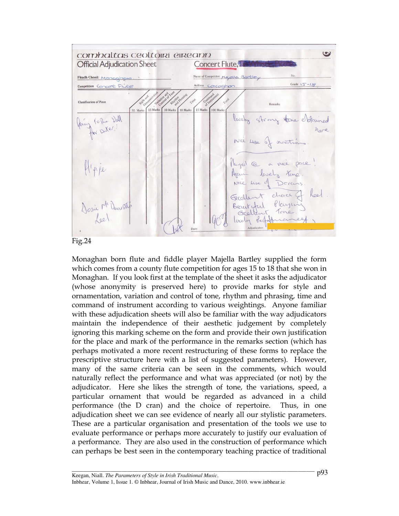



Monaghan born flute and fiddle player Majella Bartley supplied the form which comes from a county flute competition for ages 15 to 18 that she won in Monaghan. If you look first at the template of the sheet it asks the adjudicator (whose anonymity is preserved here) to provide marks for style and ornamentation, variation and control of tone, rhythm and phrasing, time and command of instrument according to various weightings. Anyone familiar with these adjudication sheets will also be familiar with the way adjudicators maintain the independence of their aesthetic judgement by completely ignoring this marking scheme on the form and provide their own justification for the place and mark of the performance in the remarks section (which has perhaps motivated a more recent restructuring of these forms to replace the prescriptive structure here with a list of suggested parameters). However, many of the same criteria can be seen in the comments, which would naturally reflect the performance and what was appreciated (or not) by the adjudicator. Here she likes the strength of tone, the variations, speed, a particular ornament that would be regarded as advanced in a child performance (the D cran) and the choice of repertoire. Thus, in one adjudication sheet we can see evidence of nearly all our stylistic parameters. These are a particular organisation and presentation of the tools we use to evaluate performance or perhaps more accurately to justify our evaluation of a performance. They are also used in the construction of performance which can perhaps be best seen in the contemporary teaching practice of traditional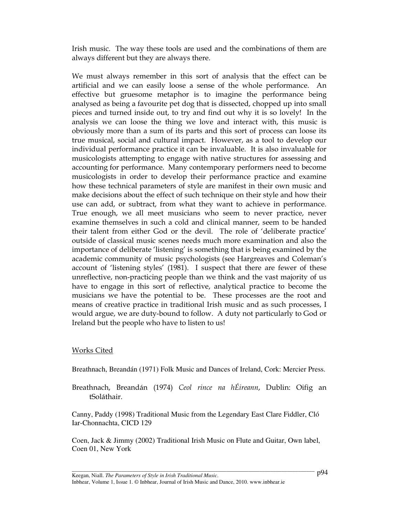Irish music. The way these tools are used and the combinations of them are always different but they are always there.

We must always remember in this sort of analysis that the effect can be artificial and we can easily loose a sense of the whole performance. An effective but gruesome metaphor is to imagine the performance being analysed as being a favourite pet dog that is dissected, chopped up into small pieces and turned inside out, to try and find out why it is so lovely! In the analysis we can loose the thing we love and interact with, this music is obviously more than a sum of its parts and this sort of process can loose its true musical, social and cultural impact. However, as a tool to develop our individual performance practice it can be invaluable. It is also invaluable for musicologists attempting to engage with native structures for assessing and accounting for performance. Many contemporary performers need to become musicologists in order to develop their performance practice and examine how these technical parameters of style are manifest in their own music and make decisions about the effect of such technique on their style and how their use can add, or subtract, from what they want to achieve in performance. True enough, we all meet musicians who seem to never practice, never examine themselves in such a cold and clinical manner, seem to be handed their talent from either God or the devil. The role of 'deliberate practice' outside of classical music scenes needs much more examination and also the importance of deliberate 'listening' is something that is being examined by the academic community of music psychologists (see Hargreaves and Coleman's account of 'listening styles' (1981). I suspect that there are fewer of these unreflective, non-practicing people than we think and the vast majority of us have to engage in this sort of reflective, analytical practice to become the musicians we have the potential to be. These processes are the root and means of creative practice in traditional Irish music and as such processes, I would argue, we are duty-bound to follow. A duty not particularly to God or Ireland but the people who have to listen to us!

## Works Cited

Breathnach, Breandán (1971) Folk Music and Dances of Ireland, Cork: Mercier Press.

Breathnach, Breandán (1974) Ceol rince na hÉireann, Dublin: Oifig an tSoláthair.

Canny, Paddy (1998) Traditional Music from the Legendary East Clare Fiddler, Cló Iar-Chonnachta, CICD 129

Coen, Jack & Jimmy (2002) Traditional Irish Music on Flute and Guitar, Own label, Coen 01, New York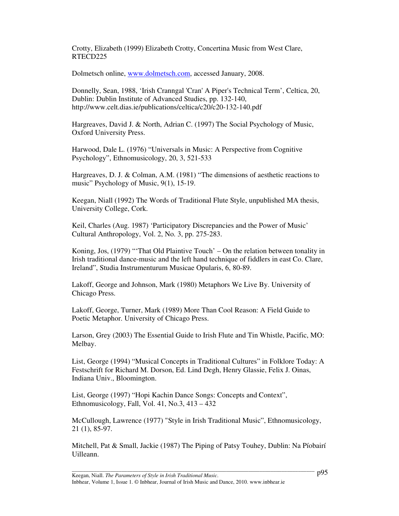Crotty, Elizabeth (1999) Elizabeth Crotty, Concertina Music from West Clare, RTECD225

Dolmetsch online, www.dolmetsch.com, accessed January, 2008.

Donnelly, Sean, 1988, 'Irish Cranngal 'Cran' A Piper's Technical Term', Celtica, 20, Dublin: Dublin Institute of Advanced Studies, pp. 132-140, http://www.celt.dias.ie/publications/celtica/c20/c20-132-140.pdf

Hargreaves, David J. & North, Adrian C. (1997) The Social Psychology of Music, Oxford University Press.

Harwood, Dale L. (1976) "Universals in Music: A Perspective from Cognitive Psychology", Ethnomusicology, 20, 3, 521-533

Hargreaves, D. J. & Colman, A.M. (1981) "The dimensions of aesthetic reactions to music" Psychology of Music, 9(1), 15-19.

Keegan, Niall (1992) The Words of Traditional Flute Style, unpublished MA thesis, University College, Cork.

Keil, Charles (Aug. 1987) 'Participatory Discrepancies and the Power of Music' Cultural Anthropology, Vol. 2, No. 3, pp. 275-283.

Koning, Jos, (1979) "'That Old Plaintive Touch' – On the relation between tonality in Irish traditional dance-music and the left hand technique of fiddlers in east Co. Clare, Ireland", Studia Instrumenturum Musicae Opularis, 6, 80-89.

Lakoff, George and Johnson, Mark (1980) Metaphors We Live By. University of Chicago Press.

Lakoff, George, Turner, Mark (1989) More Than Cool Reason: A Field Guide to Poetic Metaphor. University of Chicago Press.

Larson, Grey (2003) The Essential Guide to Irish Flute and Tin Whistle, Pacific, MO: Melbay.

List, George (1994) "Musical Concepts in Traditional Cultures" in Folklore Today: A Festschrift for Richard M. Dorson, Ed. Lind Degh, Henry Glassie, Felix J. Oinas, Indiana Univ., Bloomington.

List, George (1997) "Hopi Kachin Dance Songs: Concepts and Context", Ethnomusicology, Fall, Vol. 41, No.3, 413 – 432

McCullough, Lawrence (1977) "Style in Irish Traditional Music", Ethnomusicology, 21 (1), 85-97.

Mitchell, Pat & Small, Jackie (1987) The Piping of Patsy Touhey, Dublin: Na Píobairí Uilleann.